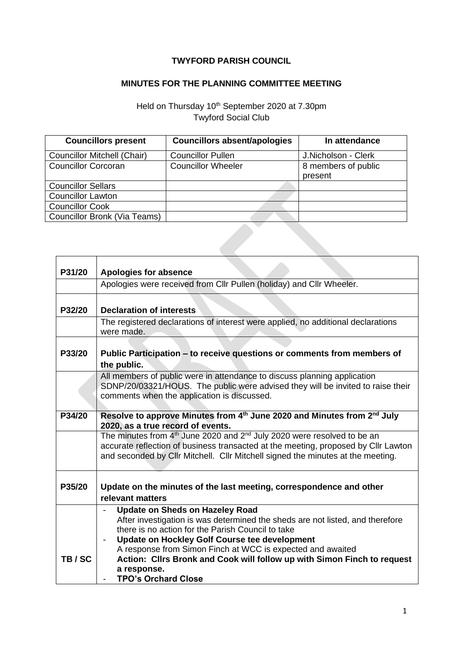## **TWYFORD PARISH COUNCIL**

## **MINUTES FOR THE PLANNING COMMITTEE MEETING**

## Held on Thursday 10<sup>th</sup> September 2020 at 7.30pm Twyford Social Club

| <b>Councillors present</b>         | <b>Councillors absent/apologies</b> | In attendance       |
|------------------------------------|-------------------------------------|---------------------|
| <b>Councillor Mitchell (Chair)</b> | <b>Councillor Pullen</b>            | J.Nicholson - Clerk |
| <b>Councillor Corcoran</b>         | <b>Councillor Wheeler</b>           | 8 members of public |
|                                    |                                     | present             |
| <b>Councillor Sellars</b>          |                                     |                     |
| <b>Councillor Lawton</b>           |                                     |                     |
| <b>Councillor Cook</b>             |                                     |                     |
| Councillor Bronk (Via Teams)       |                                     |                     |

| P31/20 | <b>Apologies for absence</b>                                                                                                                                                                                                                                             |
|--------|--------------------------------------------------------------------------------------------------------------------------------------------------------------------------------------------------------------------------------------------------------------------------|
|        | Apologies were received from Cllr Pullen (holiday) and Cllr Wheeler.                                                                                                                                                                                                     |
|        |                                                                                                                                                                                                                                                                          |
| P32/20 | <b>Declaration of interests</b>                                                                                                                                                                                                                                          |
|        | The registered declarations of interest were applied, no additional declarations<br>were made.                                                                                                                                                                           |
| P33/20 | Public Participation – to receive questions or comments from members of                                                                                                                                                                                                  |
|        | the public.                                                                                                                                                                                                                                                              |
|        | All members of public were in attendance to discuss planning application<br>SDNP/20/03321/HOUS. The public were advised they will be invited to raise their<br>comments when the application is discussed.                                                               |
|        |                                                                                                                                                                                                                                                                          |
| P34/20 | Resolve to approve Minutes from 4th June 2020 and Minutes from 2nd July<br>2020, as a true record of events.                                                                                                                                                             |
|        | The minutes from 4 <sup>th</sup> June 2020 and 2 <sup>nd</sup> July 2020 were resolved to be an<br>accurate reflection of business transacted at the meeting, proposed by Cllr Lawton<br>and seconded by Cllr Mitchell. Cllr Mitchell signed the minutes at the meeting. |
| P35/20 | Update on the minutes of the last meeting, correspondence and other                                                                                                                                                                                                      |
|        | relevant matters                                                                                                                                                                                                                                                         |
|        | <b>Update on Sheds on Hazeley Road</b>                                                                                                                                                                                                                                   |
|        | After investigation is was determined the sheds are not listed, and therefore                                                                                                                                                                                            |
|        | there is no action for the Parish Council to take                                                                                                                                                                                                                        |
|        | Update on Hockley Golf Course tee development                                                                                                                                                                                                                            |
|        | A response from Simon Finch at WCC is expected and awaited                                                                                                                                                                                                               |
| TB/SC  | Action: Clirs Bronk and Cook will follow up with Simon Finch to request                                                                                                                                                                                                  |
|        | a response.                                                                                                                                                                                                                                                              |
|        | <b>TPO's Orchard Close</b>                                                                                                                                                                                                                                               |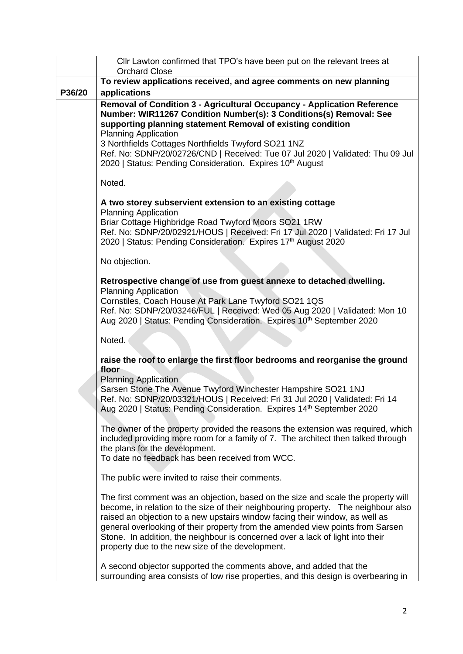|        | Cllr Lawton confirmed that TPO's have been put on the relevant trees at<br><b>Orchard Close</b>                                                                                                                                                                                                                                                                                                                                                                                 |  |
|--------|---------------------------------------------------------------------------------------------------------------------------------------------------------------------------------------------------------------------------------------------------------------------------------------------------------------------------------------------------------------------------------------------------------------------------------------------------------------------------------|--|
|        | To review applications received, and agree comments on new planning                                                                                                                                                                                                                                                                                                                                                                                                             |  |
| P36/20 | applications                                                                                                                                                                                                                                                                                                                                                                                                                                                                    |  |
|        | Removal of Condition 3 - Agricultural Occupancy - Application Reference<br>Number: WIR11267 Condition Number(s): 3 Conditions(s) Removal: See<br>supporting planning statement Removal of existing condition<br><b>Planning Application</b><br>3 Northfields Cottages Northfields Twyford SO21 1NZ<br>Ref. No: SDNP/20/02726/CND   Received: Tue 07 Jul 2020   Validated: Thu 09 Jul<br>2020   Status: Pending Consideration. Expires 10 <sup>th</sup> August                   |  |
|        | Noted.                                                                                                                                                                                                                                                                                                                                                                                                                                                                          |  |
|        | A two storey subservient extension to an existing cottage<br><b>Planning Application</b><br>Briar Cottage Highbridge Road Twyford Moors SO21 1RW<br>Ref. No: SDNP/20/02921/HOUS   Received: Fri 17 Jul 2020   Validated: Fri 17 Jul<br>2020   Status: Pending Consideration. Expires 17th August 2020                                                                                                                                                                           |  |
|        | No objection.                                                                                                                                                                                                                                                                                                                                                                                                                                                                   |  |
|        | Retrospective change of use from guest annexe to detached dwelling.<br><b>Planning Application</b><br>Cornstiles, Coach House At Park Lane Twyford SO21 1QS<br>Ref. No: SDNP/20/03246/FUL   Received: Wed 05 Aug 2020   Validated: Mon 10<br>Aug 2020   Status: Pending Consideration. Expires 10 <sup>th</sup> September 2020                                                                                                                                                  |  |
|        | Noted.                                                                                                                                                                                                                                                                                                                                                                                                                                                                          |  |
|        | raise the roof to enlarge the first floor bedrooms and reorganise the ground<br>floor<br><b>Planning Application</b><br>Sarsen Stone The Avenue Twyford Winchester Hampshire SO21 1NJ<br>Ref. No: SDNP/20/03321/HOUS   Received: Fri 31 Jul 2020   Validated: Fri 14<br>Aug 2020   Status: Pending Consideration. Expires 14 <sup>th</sup> September 2020<br>The owner of the property provided the reasons the extension was required, which                                   |  |
|        | included providing more room for a family of 7. The architect then talked through<br>the plans for the development.<br>To date no feedback has been received from WCC.                                                                                                                                                                                                                                                                                                          |  |
|        | The public were invited to raise their comments.                                                                                                                                                                                                                                                                                                                                                                                                                                |  |
|        | The first comment was an objection, based on the size and scale the property will<br>become, in relation to the size of their neighbouring property. The neighbour also<br>raised an objection to a new upstairs window facing their window, as well as<br>general overlooking of their property from the amended view points from Sarsen<br>Stone. In addition, the neighbour is concerned over a lack of light into their<br>property due to the new size of the development. |  |
|        | A second objector supported the comments above, and added that the<br>surrounding area consists of low rise properties, and this design is overbearing in                                                                                                                                                                                                                                                                                                                       |  |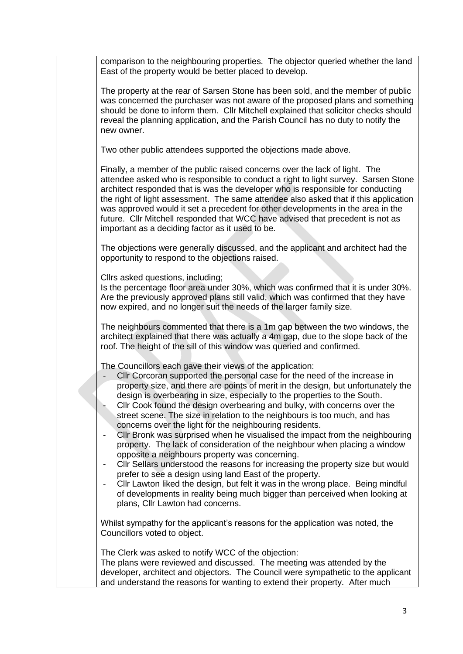| comparison to the neighbouring properties. The objector queried whether the land<br>East of the property would be better placed to develop.                                                                                                                                                                                                                                                                                                                                                                                                                                                                                                                                                                                                                                                                                                                                                                                                                                                                                                                                                     |
|-------------------------------------------------------------------------------------------------------------------------------------------------------------------------------------------------------------------------------------------------------------------------------------------------------------------------------------------------------------------------------------------------------------------------------------------------------------------------------------------------------------------------------------------------------------------------------------------------------------------------------------------------------------------------------------------------------------------------------------------------------------------------------------------------------------------------------------------------------------------------------------------------------------------------------------------------------------------------------------------------------------------------------------------------------------------------------------------------|
| The property at the rear of Sarsen Stone has been sold, and the member of public<br>was concerned the purchaser was not aware of the proposed plans and something<br>should be done to inform them. Cllr Mitchell explained that solicitor checks should<br>reveal the planning application, and the Parish Council has no duty to notify the<br>new owner.                                                                                                                                                                                                                                                                                                                                                                                                                                                                                                                                                                                                                                                                                                                                     |
| Two other public attendees supported the objections made above.                                                                                                                                                                                                                                                                                                                                                                                                                                                                                                                                                                                                                                                                                                                                                                                                                                                                                                                                                                                                                                 |
| Finally, a member of the public raised concerns over the lack of light. The<br>attendee asked who is responsible to conduct a right to light survey. Sarsen Stone<br>architect responded that is was the developer who is responsible for conducting<br>the right of light assessment. The same attendee also asked that if this application<br>was approved would it set a precedent for other developments in the area in the<br>future. Cllr Mitchell responded that WCC have advised that precedent is not as<br>important as a deciding factor as it used to be.                                                                                                                                                                                                                                                                                                                                                                                                                                                                                                                           |
| The objections were generally discussed, and the applicant and architect had the<br>opportunity to respond to the objections raised.                                                                                                                                                                                                                                                                                                                                                                                                                                                                                                                                                                                                                                                                                                                                                                                                                                                                                                                                                            |
| Cllrs asked questions, including;<br>Is the percentage floor area under 30%, which was confirmed that it is under 30%.<br>Are the previously approved plans still valid, which was confirmed that they have<br>now expired, and no longer suit the needs of the larger family size.                                                                                                                                                                                                                                                                                                                                                                                                                                                                                                                                                                                                                                                                                                                                                                                                             |
| The neighbours commented that there is a 1m gap between the two windows, the<br>architect explained that there was actually a 4m gap, due to the slope back of the<br>roof. The height of the sill of this window was queried and confirmed.                                                                                                                                                                                                                                                                                                                                                                                                                                                                                                                                                                                                                                                                                                                                                                                                                                                    |
| The Councillors each gave their views of the application:<br>Cllr Corcoran supported the personal case for the need of the increase in<br>property size, and there are points of merit in the design, but unfortunately the<br>design is overbearing in size, especially to the properties to the South.<br>Cllr Cook found the design overbearing and bulky, with concerns over the<br>street scene. The size in relation to the neighbours is too much, and has<br>concerns over the light for the neighbouring residents.<br>CIIr Bronk was surprised when he visualised the impact from the neighbouring<br>property. The lack of consideration of the neighbour when placing a window<br>opposite a neighbours property was concerning.<br>Cllr Sellars understood the reasons for increasing the property size but would<br>prefer to see a design using land East of the property.<br>CIIr Lawton liked the design, but felt it was in the wrong place. Being mindful<br>of developments in reality being much bigger than perceived when looking at<br>plans, Cllr Lawton had concerns. |
| Whilst sympathy for the applicant's reasons for the application was noted, the<br>Councillors voted to object.                                                                                                                                                                                                                                                                                                                                                                                                                                                                                                                                                                                                                                                                                                                                                                                                                                                                                                                                                                                  |
| The Clerk was asked to notify WCC of the objection:<br>The plans were reviewed and discussed. The meeting was attended by the<br>developer, architect and objectors. The Council were sympathetic to the applicant<br>and understand the reasons for wanting to extend their property. After much                                                                                                                                                                                                                                                                                                                                                                                                                                                                                                                                                                                                                                                                                                                                                                                               |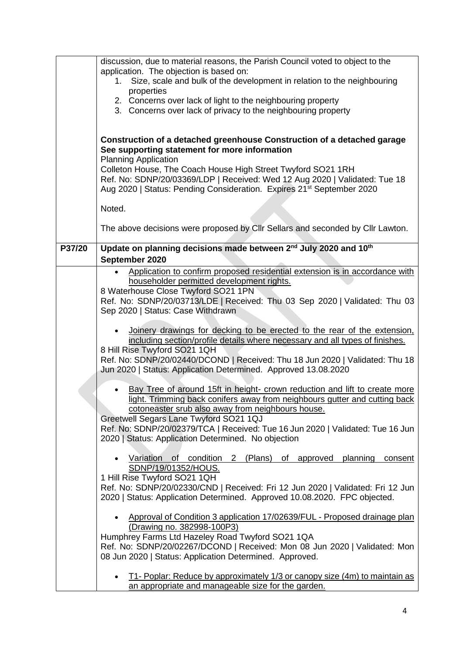|        | discussion, due to material reasons, the Parish Council voted to object to the<br>application. The objection is based on:       |
|--------|---------------------------------------------------------------------------------------------------------------------------------|
|        | Size, scale and bulk of the development in relation to the neighbouring<br>1.<br>properties                                     |
|        | 2. Concerns over lack of light to the neighbouring property                                                                     |
|        | 3. Concerns over lack of privacy to the neighbouring property                                                                   |
|        |                                                                                                                                 |
|        | Construction of a detached greenhouse Construction of a detached garage<br>See supporting statement for more information        |
|        | <b>Planning Application</b><br>Colleton House, The Coach House High Street Twyford SO21 1RH                                     |
|        | Ref. No: SDNP/20/03369/LDP   Received: Wed 12 Aug 2020   Validated: Tue 18                                                      |
|        | Aug 2020   Status: Pending Consideration. Expires 21 <sup>st</sup> September 2020                                               |
|        | Noted.                                                                                                                          |
|        | The above decisions were proposed by Cllr Sellars and seconded by Cllr Lawton.                                                  |
| P37/20 | Update on planning decisions made between 2 <sup>nd</sup> July 2020 and 10 <sup>th</sup><br>September 2020                      |
|        | Application to confirm proposed residential extension is in accordance with                                                     |
|        | householder permitted development rights.<br>8 Waterhouse Close Twyford SO21 1PN                                                |
|        | Ref. No: SDNP/20/03713/LDE   Received: Thu 03 Sep 2020   Validated: Thu 03                                                      |
|        | Sep 2020   Status: Case Withdrawn                                                                                               |
|        | Joinery drawings for decking to be erected to the rear of the extension,<br>$\bullet$                                           |
|        | including section/profile details where necessary and all types of finishes.<br>8 Hill Rise Twyford SO21 1QH                    |
|        | Ref. No: SDNP/20/02440/DCOND   Received: Thu 18 Jun 2020   Validated: Thu 18                                                    |
|        | Jun 2020   Status: Application Determined. Approved 13.08.2020                                                                  |
|        | Bay Tree of around 15ft in height- crown reduction and lift to create more                                                      |
|        | light. Trimming back conifers away from neighbours gutter and cutting back<br>cotoneaster srub also away from neighbours house. |
|        | Greetwell Segars Lane Twyford SO21 1QJ                                                                                          |
|        | Ref. No: SDNP/20/02379/TCA   Received: Tue 16 Jun 2020   Validated: Tue 16 Jun                                                  |
|        | 2020   Status: Application Determined. No objection                                                                             |
|        | Variation of condition 2 (Plans) of approved planning<br>consent                                                                |
|        | SDNP/19/01352/HOUS.<br>1 Hill Rise Twyford SO21 1QH                                                                             |
|        | Ref. No: SDNP/20/02330/CND   Received: Fri 12 Jun 2020   Validated: Fri 12 Jun                                                  |
|        | 2020   Status: Application Determined. Approved 10.08.2020. FPC objected.                                                       |
|        | Approval of Condition 3 application 17/02639/FUL - Proposed drainage plan<br>$\bullet$                                          |
|        | (Drawing no. 382998-100P3)<br>Humphrey Farms Ltd Hazeley Road Twyford SO21 1QA                                                  |
|        | Ref. No: SDNP/20/02267/DCOND   Received: Mon 08 Jun 2020   Validated: Mon                                                       |
|        | 08 Jun 2020   Status: Application Determined. Approved.                                                                         |
|        | <u>T1- Poplar: Reduce by approximately 1/3 or canopy size (4m) to maintain as</u><br>$\bullet$                                  |
|        | an appropriate and manageable size for the garden.                                                                              |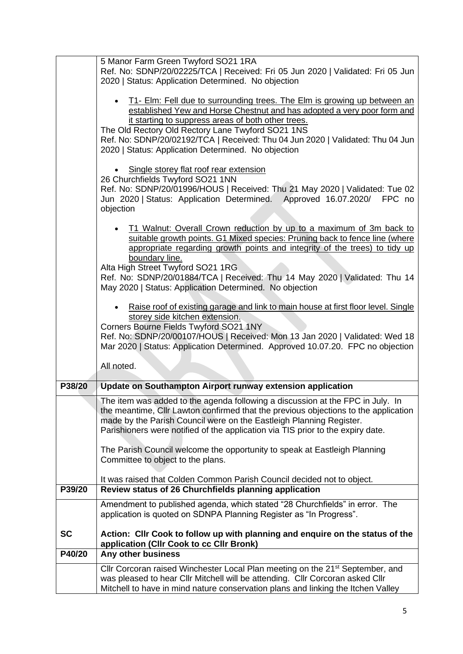|           | 5 Manor Farm Green Twyford SO21 1RA                                                                                                                                                                                                                                                                                                                                                                                                           |
|-----------|-----------------------------------------------------------------------------------------------------------------------------------------------------------------------------------------------------------------------------------------------------------------------------------------------------------------------------------------------------------------------------------------------------------------------------------------------|
|           | Ref. No: SDNP/20/02225/TCA   Received: Fri 05 Jun 2020   Validated: Fri 05 Jun<br>2020   Status: Application Determined. No objection                                                                                                                                                                                                                                                                                                         |
|           | T1- Elm: Fell due to surrounding trees. The Elm is growing up between an<br>$\bullet$<br>established Yew and Horse Chestnut and has adopted a very poor form and<br>it starting to suppress areas of both other trees.<br>The Old Rectory Old Rectory Lane Twyford SO21 1NS<br>Ref. No: SDNP/20/02192/TCA   Received: Thu 04 Jun 2020   Validated: Thu 04 Jun<br>2020   Status: Application Determined. No objection                          |
|           | Single storey flat roof rear extension<br>26 Churchfields Twyford SO21 1NN<br>Ref. No: SDNP/20/01996/HOUS   Received: Thu 21 May 2020   Validated: Tue 02<br>Jun 2020   Status: Application Determined. Approved 16.07.2020/ FPC no<br>objection                                                                                                                                                                                              |
|           | T1 Walnut: Overall Crown reduction by up to a maximum of 3m back to<br>$\bullet$<br>suitable growth points. G1 Mixed species: Pruning back to fence line (where<br>appropriate regarding growth points and integrity of the trees) to tidy up<br>boundary line.<br>Alta High Street Twyford SO21 1RG<br>Ref. No: SDNP/20/01884/TCA   Received: Thu 14 May 2020   Validated: Thu 14<br>May 2020   Status: Application Determined. No objection |
|           | Raise roof of existing garage and link to main house at first floor level. Single<br>$\bullet$<br>storey side kitchen extension.<br>Corners Bourne Fields Twyford SO21 1NY<br>Ref. No: SDNP/20/00107/HOUS   Received: Mon 13 Jan 2020   Validated: Wed 18<br>Mar 2020   Status: Application Determined. Approved 10.07.20. FPC no objection<br>All noted.                                                                                     |
|           |                                                                                                                                                                                                                                                                                                                                                                                                                                               |
| P38/20    | Update on Southampton Airport runway extension application                                                                                                                                                                                                                                                                                                                                                                                    |
|           | The item was added to the agenda following a discussion at the FPC in July. In<br>the meantime, Cllr Lawton confirmed that the previous objections to the application<br>made by the Parish Council were on the Eastleigh Planning Register.<br>Parishioners were notified of the application via TIS prior to the expiry date.                                                                                                               |
|           | The Parish Council welcome the opportunity to speak at Eastleigh Planning<br>Committee to object to the plans.                                                                                                                                                                                                                                                                                                                                |
|           | It was raised that Colden Common Parish Council decided not to object.                                                                                                                                                                                                                                                                                                                                                                        |
| P39/20    | Review status of 26 Churchfields planning application                                                                                                                                                                                                                                                                                                                                                                                         |
|           | Amendment to published agenda, which stated "28 Churchfields" in error. The<br>application is quoted on SDNPA Planning Register as "In Progress".                                                                                                                                                                                                                                                                                             |
| <b>SC</b> | Action: Cllr Cook to follow up with planning and enquire on the status of the<br>application (Cllr Cook to cc Cllr Bronk)                                                                                                                                                                                                                                                                                                                     |
| P40/20    | Any other business                                                                                                                                                                                                                                                                                                                                                                                                                            |
|           | Cllr Corcoran raised Winchester Local Plan meeting on the 21 <sup>st</sup> September, and<br>was pleased to hear Cllr Mitchell will be attending. Cllr Corcoran asked Cllr<br>Mitchell to have in mind nature conservation plans and linking the Itchen Valley                                                                                                                                                                                |